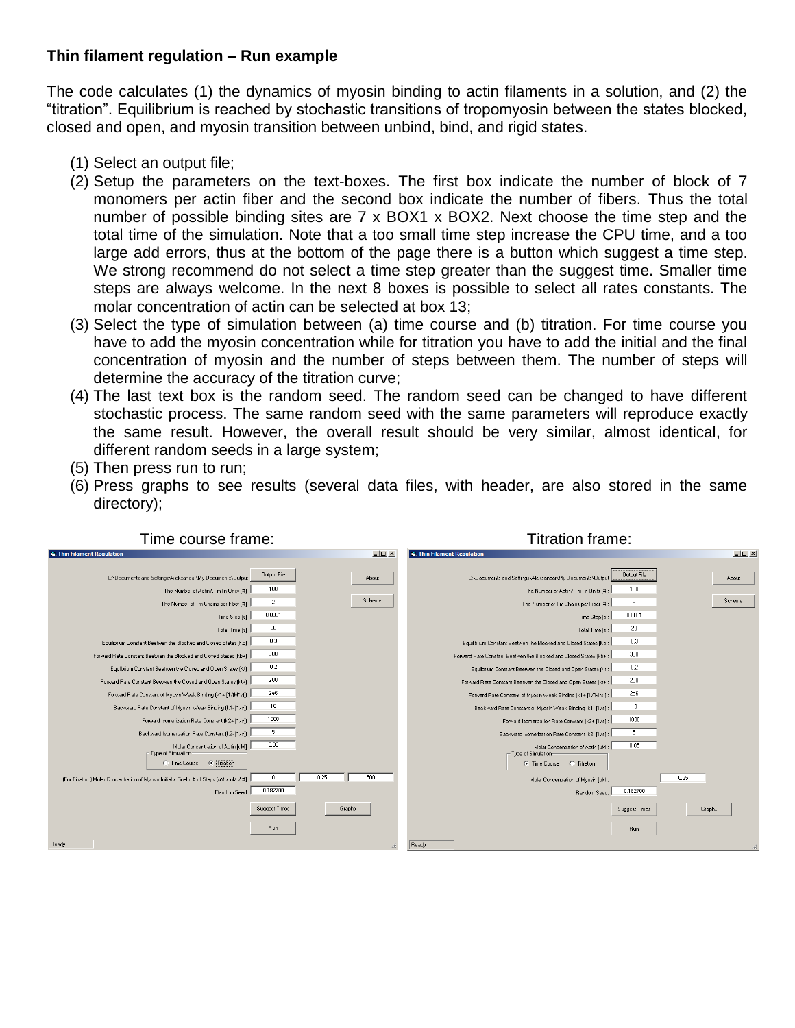## **Thin filament regulation – Run example**

The code calculates (1) the dynamics of myosin binding to actin filaments in a solution, and (2) the "titration". Equilibrium is reached by stochastic transitions of tropomyosin between the states blocked, closed and open, and myosin transition between unbind, bind, and rigid states.

- (1) Select an output file;
- (2) Setup the parameters on the text-boxes. The first box indicate the number of block of 7 monomers per actin fiber and the second box indicate the number of fibers. Thus the total number of possible binding sites are 7 x BOX1 x BOX2. Next choose the time step and the total time of the simulation. Note that a too small time step increase the CPU time, and a too large add errors, thus at the bottom of the page there is a button which suggest a time step. We strong recommend do not select a time step greater than the suggest time. Smaller time steps are always welcome. In the next 8 boxes is possible to select all rates constants. The molar concentration of actin can be selected at box 13;
- (3) Select the type of simulation between (a) time course and (b) titration. For time course you have to add the myosin concentration while for titration you have to add the initial and the final concentration of myosin and the number of steps between them. The number of steps will determine the accuracy of the titration curve;
- (4) The last text box is the random seed. The random seed can be changed to have different stochastic process. The same random seed with the same parameters will reproduce exactly the same result. However, the overall result should be very similar, almost identical, for different random seeds in a large system;
- (5) Then press run to run;
- (6) Press graphs to see results (several data files, with header, are also stored in the same directory);

| <b>E.</b> Thin Filament Regulation                                                       | $ \Box$ $\times$ | $-10 \times$<br><b>S. Thin Filament Regulation</b>                               |
|------------------------------------------------------------------------------------------|------------------|----------------------------------------------------------------------------------|
| Output File<br>C:\Documents and Settings\Aleksandar\Mv Documents\Output                  | About            | Output File<br>C:\Documents and Settings\Aleksandar\My Documents\Output<br>About |
| 100<br>The Number of Actin7. TmTn Units [#]:                                             |                  | 100<br>The Number of Actin7. TmTn Units [#]:                                     |
| $\overline{2}$<br>The Number of Tm Chains per Fiber [#]:                                 | Scheme           | Scheme<br>$\overline{2}$<br>The Number of Tm Chains per Fiber [#]:               |
| 0.0001<br>Time Step [s]:                                                                 |                  | 0.0001<br>Time Step [s]:                                                         |
| 20<br>Total Time [s]:                                                                    |                  | 20<br>Total Time [s]:                                                            |
| 0.3<br>Equilibrium Constant Beetwen the Blocked and Closed States (Kb):                  |                  | 0.3<br>Equilibrium Constant Beetwen the Blocked and Closed States (Kb):          |
| 300<br>Forward Rate Constant Beetwen the Blocked and Closed States [kb+]:                |                  | 300<br>Forward Rate Constant Beetwen the Blocked and Closed States (kb+):        |
| 0.2<br>Equilbrium Constant Beetwen the Closed and Open States (Kt):                      |                  | 0.2<br>Equilibrium Constant Beetwen the Closed and Open States (Kt):             |
| 200<br>Forward Rate Constant Beetwen the Closed and Open States (kt+):                   |                  | 200<br>Forward Rate Constant Beetwen the Closed and Open States [kt+]:           |
| 2e6<br>Forward Rate Constant of Myosin Weak Binding [k1+ [1/[M*s]]:                      |                  | 2e6<br>Forward Rate Constant of Myosin Weak Binding (k1+[1/(M*s)]):              |
| 10<br>Backward Rate Constant of Myosin Weak Binding [k1-[1/s]):                          |                  | 10<br>Backward Rate Constant of Myosin Weak Binding [k1 - [1/s]):                |
| 1000<br>Forward Isomerization Rate Constant [k2+ [1/s]):                                 |                  | 1000<br>Forward Isomerization Rate Constant (k2+ [1/s]):                         |
| 5<br>Backward Isomerization Rate Constant [k2-[1/s]]:                                    |                  | 5<br>Backward Isomerization Rate Constant (k2-[1/s]):                            |
| 0.05<br>Molar Concentration of Actin [uM]:<br>- Type of Simulation-                      |                  | 0.05<br>Molar Concentration of Actin [uM]:<br>Type of Simulation                 |
| <b>C</b> Titration<br>C Time Course                                                      |                  | C Time Course  ◯ Titration                                                       |
| [For Titration] Molar Concentration of Myosin Initial / Final / # of Steps [uM / uM / #} | 0.25<br>500      | 0.25<br>Molar Concentration of Myosin [uM]:                                      |
| 0.182700<br>Random Seed:                                                                 |                  | 0.182700<br>Random Seed:                                                         |
| Suggest Times                                                                            | Graphs           | Suggest Times<br>Graphs                                                          |
|                                                                                          |                  |                                                                                  |
| Run                                                                                      |                  | Run                                                                              |
| Ready                                                                                    |                  | Ready                                                                            |

Time course frame: Titration frame: